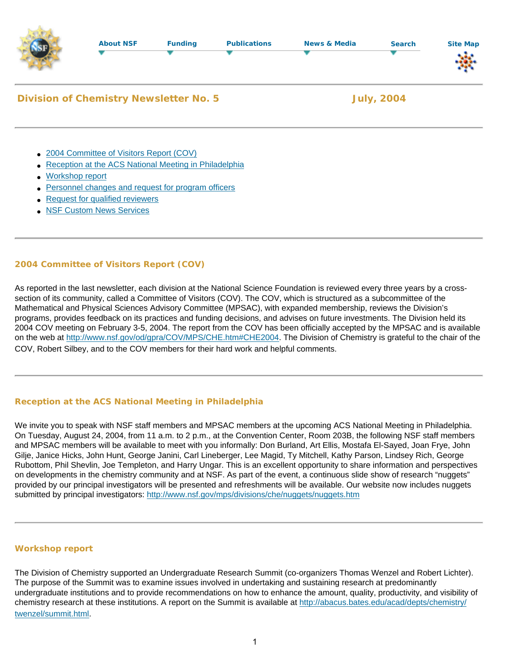|                                               | <b>About NSF</b>                                                                        | <b>Funding</b> | <b>Publications</b> | <b>News &amp; Media</b> | <b>Search</b> | <b>Site Map</b> |
|-----------------------------------------------|-----------------------------------------------------------------------------------------|----------------|---------------------|-------------------------|---------------|-----------------|
| <b>Division of Chemistry Newsletter No. 5</b> |                                                                                         |                |                     | <b>July, 2004</b>       |               |                 |
|                                               | • 2004 Committee of Visitors Report (COV)                                               |                |                     |                         |               |                 |
| $\bullet$<br>Workshop report                  | Reception at the ACS National Meeting in Philadelphia                                   |                |                     |                         |               |                 |
|                                               | Personnel changes and request for program officers<br>• Request for qualified reviewers |                |                     |                         |               |                 |

• [NSF Custom News Services](#page-1-2)

# <span id="page-0-0"></span>**2004 Committee of Visitors Report (COV)**

As reported in the last newsletter, each division at the National Science Foundation is reviewed every three years by a crosssection of its community, called a Committee of Visitors (COV). The COV, which is structured as a subcommittee of the Mathematical and Physical Sciences Advisory Committee (MPSAC), with expanded membership, reviews the Division's programs, provides feedback on its practices and funding decisions, and advises on future investments. The Division held its 2004 COV meeting on February 3-5, 2004. The report from the COV has been officially accepted by the MPSAC and is available on the web at <http://www.nsf.gov/od/gpra/COV/MPS/CHE.htm#CHE2004>. The Division of Chemistry is grateful to the chair of the COV, Robert Silbey, and to the COV members for their hard work and helpful comments.

# <span id="page-0-1"></span>**Reception at the ACS National Meeting in Philadelphia**

We invite you to speak with NSF staff members and MPSAC members at the upcoming ACS National Meeting in Philadelphia. On Tuesday, August 24, 2004, from 11 a.m. to 2 p.m., at the Convention Center, Room 203B, the following NSF staff members and MPSAC members will be available to meet with you informally: Don Burland, Art Ellis, Mostafa El-Sayed, Joan Frye, John Gilje, Janice Hicks, John Hunt, George Janini, Carl Lineberger, Lee Magid, Ty Mitchell, Kathy Parson, Lindsey Rich, George Rubottom, Phil Shevlin, Joe Templeton, and Harry Ungar. This is an excellent opportunity to share information and perspectives on developments in the chemistry community and at NSF. As part of the event, a continuous slide show of research "nuggets" provided by our principal investigators will be presented and refreshments will be available. Our website now includes nuggets submitted by principal investigators:<http://www.nsf.gov/mps/divisions/che/nuggets/nuggets.htm>

## <span id="page-0-2"></span>**Workshop report**

The Division of Chemistry supported an Undergraduate Research Summit (co-organizers Thomas Wenzel and Robert Lichter). The purpose of the Summit was to examine issues involved in undertaking and sustaining research at predominantly undergraduate institutions and to provide recommendations on how to enhance the amount, quality, productivity, and visibility of chemistry research at these institutions. A report on the Summit is available at [http://abacus.bates.edu/acad/depts/chemistry/](http://abacus.bates.edu/acad/depts/chemistry/twenzel/summit.html) [twenzel/summit.html.](http://abacus.bates.edu/acad/depts/chemistry/twenzel/summit.html)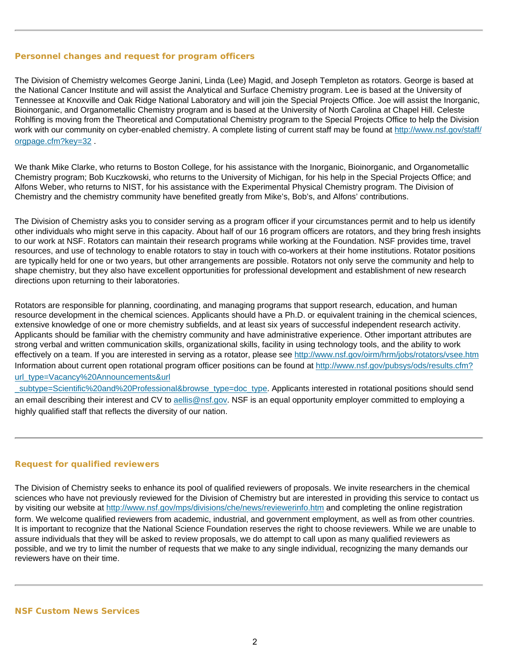### <span id="page-1-0"></span>**Personnel changes and request for program officers**

The Division of Chemistry welcomes George Janini, Linda (Lee) Magid, and Joseph Templeton as rotators. George is based at the National Cancer Institute and will assist the Analytical and Surface Chemistry program. Lee is based at the University of Tennessee at Knoxville and Oak Ridge National Laboratory and will join the Special Projects Office. Joe will assist the Inorganic, Bioinorganic, and Organometallic Chemistry program and is based at the University of North Carolina at Chapel Hill. Celeste Rohlfing is moving from the Theoretical and Computational Chemistry program to the Special Projects Office to help the Division work with our community on cyber-enabled chemistry. A complete listing of current staff may be found at [http://www.nsf.gov/staff/](http://www.nsf.gov/staff/orgpage.cfm?key=32) [orgpage.cfm?key=32](http://www.nsf.gov/staff/orgpage.cfm?key=32) .

We thank Mike Clarke, who returns to Boston College, for his assistance with the Inorganic, Bioinorganic, and Organometallic Chemistry program; Bob Kuczkowski, who returns to the University of Michigan, for his help in the Special Projects Office; and Alfons Weber, who returns to NIST, for his assistance with the Experimental Physical Chemistry program. The Division of Chemistry and the chemistry community have benefited greatly from Mike's, Bob's, and Alfons' contributions.

The Division of Chemistry asks you to consider serving as a program officer if your circumstances permit and to help us identify other individuals who might serve in this capacity. About half of our 16 program officers are rotators, and they bring fresh insights to our work at NSF. Rotators can maintain their research programs while working at the Foundation. NSF provides time, travel resources, and use of technology to enable rotators to stay in touch with co-workers at their home institutions. Rotator positions are typically held for one or two years, but other arrangements are possible. Rotators not only serve the community and help to shape chemistry, but they also have excellent opportunities for professional development and establishment of new research directions upon returning to their laboratories.

Rotators are responsible for planning, coordinating, and managing programs that support research, education, and human resource development in the chemical sciences. Applicants should have a Ph.D. or equivalent training in the chemical sciences, extensive knowledge of one or more chemistry subfields, and at least six years of successful independent research activity. Applicants should be familiar with the chemistry community and have administrative experience. Other important attributes are strong verbal and written communication skills, organizational skills, facility in using technology tools, and the ability to work effectively on a team. If you are interested in serving as a rotator, please see <http://www.nsf.gov/oirm/hrm/jobs/rotators/vsee.htm> Information about current open rotational program officer positions can be found at [http://www.nsf.gov/pubsys/ods/results.cfm?](http://www.nsf.gov/pubsys/ods/results.cfm?url_type=Vacancy%20Announcements&url_subtype=Scientific%20and%20Professional&browse_type=doc_type) [url\\_type=Vacancy%20Announcements&url](http://www.nsf.gov/pubsys/ods/results.cfm?url_type=Vacancy%20Announcements&url_subtype=Scientific%20and%20Professional&browse_type=doc_type)

[\\_subtype=Scientific%20and%20Professional&browse\\_type=doc\\_type.](http://www.nsf.gov/pubsys/ods/results.cfm?url_type=Vacancy%20Announcements&url_subtype=Scientific%20and%20Professional&browse_type=doc_type) Applicants interested in rotational positions should send an email describing their interest and CV to [aellis@nsf.gov.](mailto:aellis@nsf.gov) NSF is an equal opportunity employer committed to employing a highly qualified staff that reflects the diversity of our nation.

### <span id="page-1-1"></span>**Request for qualified reviewers**

<span id="page-1-2"></span>The Division of Chemistry seeks to enhance its pool of qualified reviewers of proposals. We invite researchers in the chemical sciences who have not previously reviewed for the Division of Chemistry but are interested in providing this service to contact us by visiting our website at <http://www.nsf.gov/mps/divisions/che/news/reviewerinfo.htm> and completing the online registration form. We welcome qualified reviewers from academic, industrial, and government employment, as well as from other countries. It is important to recognize that the National Science Foundation reserves the right to choose reviewers. While we are unable to assure individuals that they will be asked to review proposals, we do attempt to call upon as many qualified reviewers as possible, and we try to limit the number of requests that we make to any single individual, recognizing the many demands our reviewers have on their time.